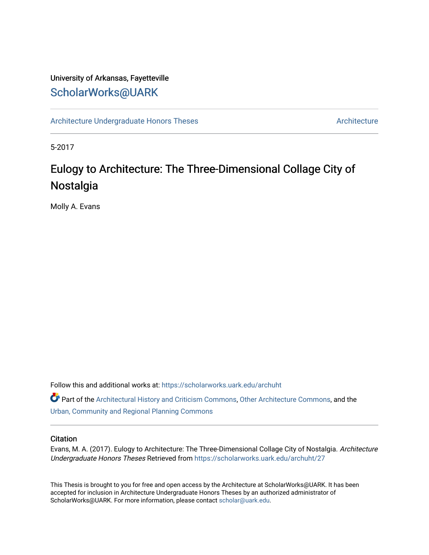## University of Arkansas, Fayetteville [ScholarWorks@UARK](https://scholarworks.uark.edu/)

[Architecture Undergraduate Honors Theses](https://scholarworks.uark.edu/archuht) [Architecture](https://scholarworks.uark.edu/arch) Architecture

5-2017

# Eulogy to Architecture: The Three-Dimensional Collage City of Nostalgia

Molly A. Evans

Follow this and additional works at: [https://scholarworks.uark.edu/archuht](https://scholarworks.uark.edu/archuht?utm_source=scholarworks.uark.edu%2Farchuht%2F27&utm_medium=PDF&utm_campaign=PDFCoverPages) 

Part of the [Architectural History and Criticism Commons,](http://network.bepress.com/hgg/discipline/780?utm_source=scholarworks.uark.edu%2Farchuht%2F27&utm_medium=PDF&utm_campaign=PDFCoverPages) [Other Architecture Commons,](http://network.bepress.com/hgg/discipline/783?utm_source=scholarworks.uark.edu%2Farchuht%2F27&utm_medium=PDF&utm_campaign=PDFCoverPages) and the [Urban, Community and Regional Planning Commons](http://network.bepress.com/hgg/discipline/776?utm_source=scholarworks.uark.edu%2Farchuht%2F27&utm_medium=PDF&utm_campaign=PDFCoverPages) 

#### **Citation**

Evans, M. A. (2017). Eulogy to Architecture: The Three-Dimensional Collage City of Nostalgia. Architecture Undergraduate Honors Theses Retrieved from [https://scholarworks.uark.edu/archuht/27](https://scholarworks.uark.edu/archuht/27?utm_source=scholarworks.uark.edu%2Farchuht%2F27&utm_medium=PDF&utm_campaign=PDFCoverPages)

This Thesis is brought to you for free and open access by the Architecture at ScholarWorks@UARK. It has been accepted for inclusion in Architecture Undergraduate Honors Theses by an authorized administrator of ScholarWorks@UARK. For more information, please contact [scholar@uark.edu](mailto:scholar@uark.edu).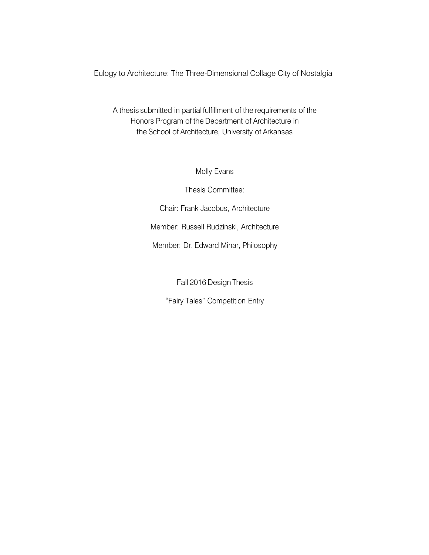Eulogy to Architecture: The Three-Dimensional Collage City of Nostalgia

A thesis submitted in partial fulfillment of the requirements of the Honors Program of the Department of Architecture in the School of Architecture, University of Arkansas

Molly Evans

Thesis Committee:

Chair: Frank Jacobus, Architecture

Member: Russell Rudzinski, Architecture

Member: Dr. Edward Minar, Philosophy

Fall 2016 Design Thesis

"Fairy Tales" Competition Entry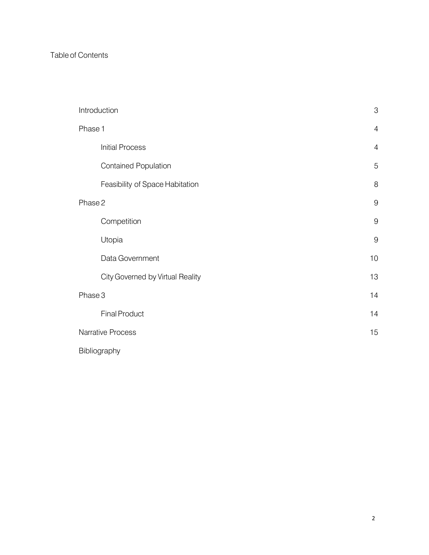### Table of Contents

| Introduction                     | 3              |
|----------------------------------|----------------|
| Phase 1                          | $\overline{4}$ |
| <b>Initial Process</b>           | $\overline{4}$ |
| <b>Contained Population</b>      | $\overline{5}$ |
| Feasibility of Space Habitation  | 8              |
| Phase 2                          | 9              |
| Competition                      | $\mathsf 9$    |
| Utopia                           | $\mathsf 9$    |
| Data Government                  | 10             |
| City Governed by Virtual Reality | 13             |
| Phase 3                          | 14             |
| <b>Final Product</b>             | 14             |
| Narrative Process                | 15             |
| Bibliography                     |                |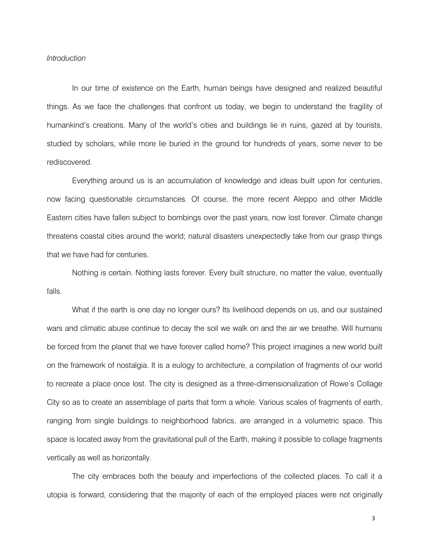#### *Introduction*

In our time of existence on the Earth, human beings have designed and realized beautiful things. As we face the challenges that confront us today, we begin to understand the fragility of humankind's creations. Many of the world's cities and buildings lie in ruins, gazed at by tourists, studied by scholars, while more lie buried in the ground for hundreds of years, some never to be rediscovered.

Everything around us is an accumulation of knowledge and ideas built upon for centuries, now facing questionable circumstances. Of course, the more recent Aleppo and other Middle Eastern cities have fallen subject to bombings over the past years, now lost forever. Climate change threatens coastal cities around the world; natural disasters unexpectedly take from our grasp things that we have had for centuries.

Nothing is certain. Nothing lasts forever. Every built structure, no matter the value, eventually falls.

What if the earth is one day no longer ours? Its livelihood depends on us, and our sustained wars and climatic abuse continue to decay the soil we walk on and the air we breathe. Will humans be forced from the planet that we have forever called home? This project imagines a new world built on the framework of nostalgia. It is a eulogy to architecture, a compilation of fragments of our world to recreate a place once lost. The city is designed as a three-dimensionalization of Rowe's Collage City so as to create an assemblage of parts that form a whole. Various scales of fragments of earth, ranging from single buildings to neighborhood fabrics, are arranged in a volumetric space. This space is located away from the gravitational pull of the Earth, making it possible to collage fragments vertically as well as horizontally.

The city embraces both the beauty and imperfections of the collected places. To call it a utopia is forward, considering that the majority of each of the employed places were not originally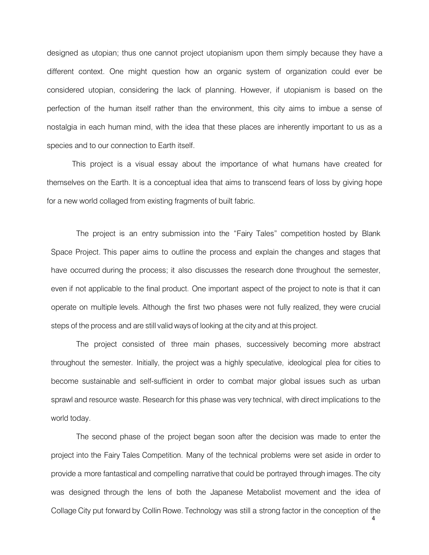designed as utopian; thus one cannot project utopianism upon them simply because they have a different context. One might question how an organic system of organization could ever be considered utopian, considering the lack of planning. However, if utopianism is based on the perfection of the human itself rather than the environment, this city aims to imbue a sense of nostalgia in each human mind, with the idea that these places are inherently important to us as a species and to our connection to Earth itself.

This project is a visual essay about the importance of what humans have created for themselves on the Earth. It is a conceptual idea that aims to transcend fears of loss by giving hope for a new world collaged from existing fragments of built fabric.

The project is an entry submission into the "Fairy Tales" competition hosted by Blank Space Project. This paper aims to outline the process and explain the changes and stages that have occurred during the process; it also discusses the research done throughout the semester, even if not applicable to the final product. One important aspect of the project to note is that it can operate on multiple levels. Although the first two phases were not fully realized, they were crucial steps of the process and are still validways of looking at the city and at this project.

The project consisted of three main phases, successively becoming more abstract throughout the semester. Initially, the project was a highly speculative, ideological plea for cities to become sustainable and self-sufficient in order to combat major global issues such as urban sprawl and resource waste. Research for this phase was very technical, with direct implications to the world today.

The second phase of the project began soon after the decision was made to enter the project into the Fairy Tales Competition. Many of the technical problems were set aside in order to provide a more fantastical and compelling narrative that could be portrayed through images. The city was designed through the lens of both the Japanese Metabolist movement and the idea of Collage City put forward by Collin Rowe. Technology was still a strong factor in the conception of the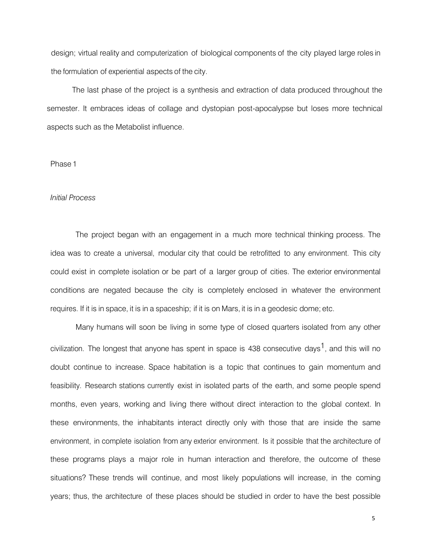design; virtual reality and computerization of biological components of the city played large roles in the formulation of experiential aspects of the city.

The last phase of the project is a synthesis and extraction of data produced throughout the semester. It embraces ideas of collage and dystopian post-apocalypse but loses more technical aspects such as the Metabolist influence.

#### Phase 1

#### *Initial Process*

The project began with an engagement in a much more technical thinking process. The idea was to create a universal, modular city that could be retrofitted to any environment. This city could exist in complete isolation or be part of a larger group of cities. The exterior environmental conditions are negated because the city is completely enclosed in whatever the environment requires. If it is in space, it is in a spaceship; if it is on Mars, it is in a geodesic dome; etc.

Many humans will soon be living in some type of closed quarters isolated from any other civilization. The longest that anyone has spent in space is 438 consecutive days<sup>1</sup>, and this will no doubt continue to increase. Space habitation is a topic that continues to gain momentum and feasibility. Research stations currently exist in isolated parts of the earth, and some people spend months, even years, working and living there without direct interaction to the global context. In these environments, the inhabitants interact directly only with those that are inside the same environment, in complete isolation from any exterior environment. Is it possible that the architecture of these programs plays a major role in human interaction and therefore, the outcome of these situations? These trends will continue, and most likely populations will increase, in the coming years; thus, the architecture of these places should be studied in order to have the best possible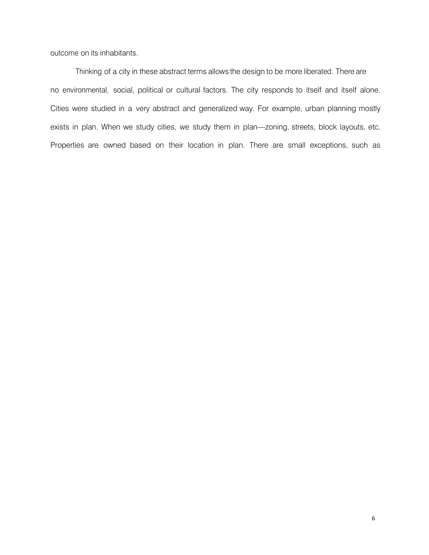outcome on its inhabitants.

Thinking of a city in these abstract terms allows the design to be more liberated. There are no environmental, social, political or cultural factors. The city responds to itself and itself alone. Cities were studied in a very abstract and generalized way. For example, urban planning mostly exists in plan. When we study cities, we study them in plan—zoning, streets, block layouts, etc. Properties are owned based on their location in plan. There are small exceptions, such as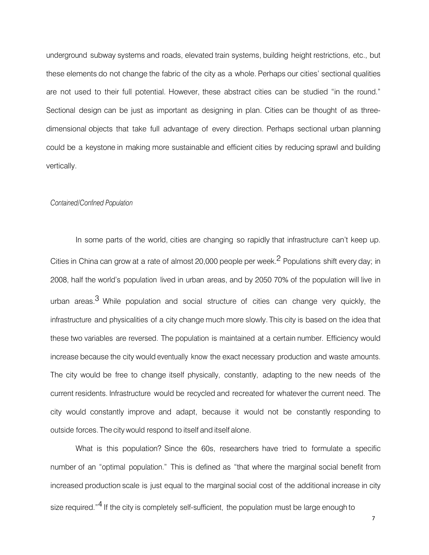underground subway systems and roads, elevated train systems, building height restrictions, etc., but these elements do not change the fabric of the city as a whole. Perhaps our cities' sectional qualities are not used to their full potential. However, these abstract cities can be studied "in the round." Sectional design can be just as important as designing in plan. Cities can be thought of as threedimensional objects that take full advantage of every direction. Perhaps sectional urban planning could be a keystone in making more sustainable and efficient cities by reducing sprawl and building vertically.

#### *Contained/Confined Population*

In some parts of the world, cities are changing so rapidly that infrastructure can't keep up. Cities in China can grow at a rate of almost 20,000 people per week.<sup>2</sup> Populations shift every day; in 2008, half the world's population lived in urban areas, and by 2050 70% of the population will live in urban areas.<sup>3</sup> While population and social structure of cities can change very quickly, the infrastructure and physicalities of a city change much more slowly. This city is based on the idea that these two variables are reversed. The population is maintained at a certain number. Efficiency would increase because the city would eventually know the exact necessary production and waste amounts. The city would be free to change itself physically, constantly, adapting to the new needs of the current residents. Infrastructure would be recycled and recreated for whatever the current need. The city would constantly improve and adapt, because it would not be constantly responding to outside forces. The city would respond to itself and itself alone.

What is this population? Since the 60s, researchers have tried to formulate a specific number of an "optimal population." This is defined as "that where the marginal social benefit from increased production scale is just equal to the marginal social cost of the additional increase in city size required."<sup>4</sup> If the city is completely self-sufficient, the population must be large enough to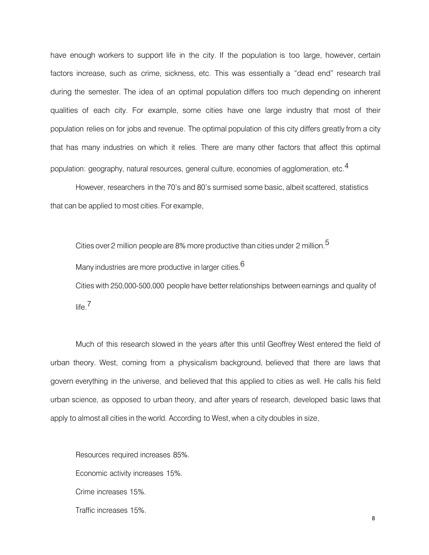have enough workers to support life in the city. If the population is too large, however, certain factors increase, such as crime, sickness, etc. This was essentially a "dead end" research trail during the semester. The idea of an optimal population differs too much depending on inherent qualities of each city. For example, some cities have one large industry that most of their population relies on for jobs and revenue. The optimal population of this city differs greatly from a city that has many industries on which it relies. There are many other factors that affect this optimal population: geography, natural resources, general culture, economies of agglomeration, etc. $^{\text{4}}$ 

However, researchers in the 70's and 80's surmised some basic, albeit scattered, statistics that can be applied to most cities. For example,

Cities over 2 million people are 8% more productive than cities under 2 million.<sup>5</sup>

Many industries are more productive in larger cities.  $6$ 

Cities with 250,000-500,000 people have better relationships between earnings and quality of life. 7

Much of this research slowed in the years after this until Geoffrey West entered the field of urban theory. West, coming from a physicalism background, believed that there are laws that govern everything in the universe, and believed that this applied to cities as well. He calls his field urban science, as opposed to urban theory, and after years of research, developed basic laws that apply to almost all cities in the world. According to West,when a city doubles in size,

Resources required increases 85%. Economic activity increases 15%. Crime increases 15%. Traffic increases 15%.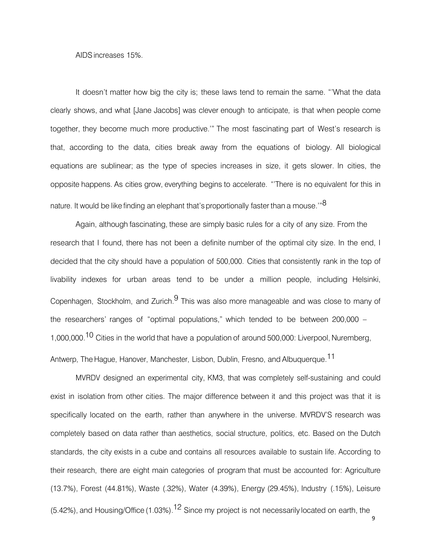#### AIDS increases 15%.

It doesn't matter how big the city is; these laws tend to remain the same. "'What the data clearly shows, and what [Jane Jacobs] was clever enough to anticipate, is that when people come together, they become much more productive.'" The most fascinating part of West's research is that, according to the data, cities break away from the equations of biology. All biological equations are sublinear; as the type of species increases in size, it gets slower. In cities, the opposite happens. As cities grow, everything begins to accelerate. "'There is no equivalent for this in nature. It would be like finding an elephant that's proportionally faster than a mouse.'"<sup>8</sup>

Again, although fascinating, these are simply basic rules for a city of any size. From the research that I found, there has not been a definite number of the optimal city size. In the end, I decided that the city should have a population of 500,000. Cities that consistently rank in the top of livability indexes for urban areas tend to be under a million people, including Helsinki, Copenhagen, Stockholm, and Zurich.<sup>9</sup> This was also more manageable and was close to many of the researchers' ranges of "optimal populations," which tended to be between 200,000 – 1,000,000.<sup>10</sup> Cities in the world that have a population of around 500,000: Liverpool, Nuremberg, Antwerp, The Hague, Hanover, Manchester, Lisbon, Dublin, Fresno, and Albuquerque. 11

MVRDV designed an experimental city, KM3, that was completely self-sustaining and could exist in isolation from other cities. The major difference between it and this project was that it is specifically located on the earth, rather than anywhere in the universe. MVRDV'S research was completely based on data rather than aesthetics, social structure, politics, etc. Based on the Dutch standards, the city exists in a cube and contains all resources available to sustain life. According to their research, there are eight main categories of program that must be accounted for: Agriculture (13.7%), Forest (44.81%), Waste (.32%), Water (4.39%), Energy (29.45%), Industry (.15%), Leisure (5.42%), and Housing/Office (1.03%). <sup>12</sup> Since my project is not necessarily located on earth, the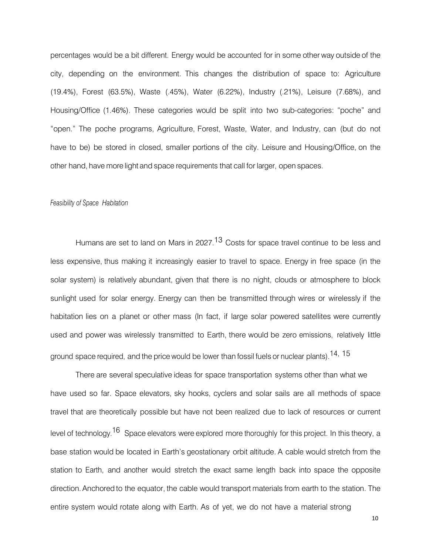percentages would be a bit different. Energy would be accounted for in some other way outside of the city, depending on the environment. This changes the distribution of space to: Agriculture (19.4%), Forest (63.5%), Waste (.45%), Water (6.22%), Industry (.21%), Leisure (7.68%), and Housing/Office (1.46%). These categories would be split into two sub-categories: "poche" and "open." The poche programs, Agriculture, Forest, Waste, Water, and Industry, can (but do not have to be) be stored in closed, smaller portions of the city. Leisure and Housing/Office, on the other hand, have more light and space requirements that call for larger, open spaces.

#### *Feasibility of Space Habitation*

Humans are set to land on Mars in 2027.<sup>13</sup> Costs for space travel continue to be less and less expensive, thus making it increasingly easier to travel to space. Energy in free space (in the solar system) is relatively abundant, given that there is no night, clouds or atmosphere to block sunlight used for solar energy. Energy can then be transmitted through wires or wirelessly if the habitation lies on a planet or other mass (In fact, if large solar powered satellites were currently used and power was wirelessly transmitted to Earth, there would be zero emissions, relatively little ground space required, and the price would be lower than fossil fuels or nuclear plants).<sup>14, 15</sup>

There are several speculative ideas for space transportation systems other than what we have used so far. Space elevators, sky hooks, cyclers and solar sails are all methods of space travel that are theoretically possible but have not been realized due to lack of resources or current level of technology.<sup>16</sup> Space elevators were explored more thoroughly for this project. In this theory, a base station would be located in Earth's geostationary orbit altitude. A cable would stretch from the station to Earth, and another would stretch the exact same length back into space the opposite direction. Anchored to the equator, the cable would transport materials from earth to the station. The entire system would rotate along with Earth. As of yet, we do not have a material strong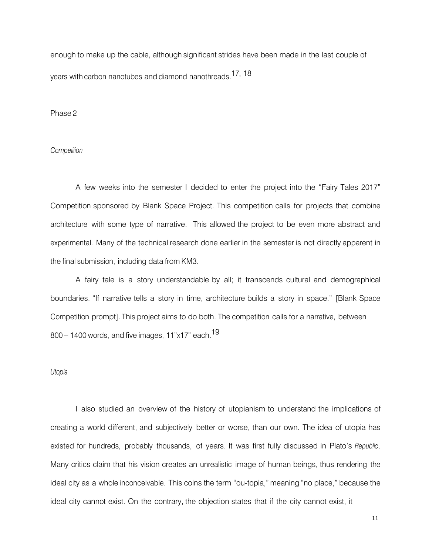enough to make up the cable, although significant strides have been made in the last couple of years with carbon nanotubes and diamond nanothreads. 17, 18

Phase 2

#### *Competition*

A few weeks into the semester I decided to enter the project into the "Fairy Tales 2017" Competition sponsored by Blank Space Project. This competition calls for projects that combine architecture with some type of narrative. This allowed the project to be even more abstract and experimental. Many of the technical research done earlier in the semester is not directly apparent in the final submission, including data from KM3.

A fairy tale is a story understandable by all; it transcends cultural and demographical boundaries. "If narrative tells a story in time, architecture builds a story in space." [Blank Space Competition prompt]. This project aims to do both. The competition calls for a narrative, between 800 – 1400 words, and five images, 11"x17" each. 19

#### *Utopia*

I also studied an overview of the history of utopianism to understand the implications of creating a world different, and subjectively better or worse, than our own. The idea of utopia has existed for hundreds, probably thousands, of years. It was first fully discussed in Plato's *Republic*. Many critics claim that his vision creates an unrealistic image of human beings, thus rendering the ideal city as a whole inconceivable. This coins the term "ou-topia," meaning "no place," because the ideal city cannot exist. On the contrary, the objection states that if the city cannot exist, it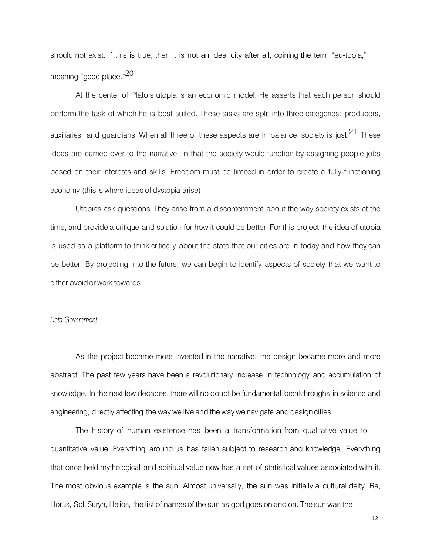should not exist. If this is true, then it is not an ideal city after all, coining the term "eu-topia," meaning "good place."<sup>20</sup>

At the center of Plato's utopia is an economic model. He asserts that each person should perform the task of which he is best suited. These tasks are split into three categories: producers, auxiliaries, and guardians. When all three of these aspects are in balance, society is just.<sup>21</sup> These ideas are carried over to the narrative, in that the society would function by assigning people jobs based on their interests and skills. Freedom must be limited in order to create a fully-functioning economy (this is where ideas of dystopia arise).

Utopias ask questions. They arise from a discontentment about the way society exists at the time, and provide a critique and solution for how it could be better. For this project, the idea of utopia is used as a platform to think critically about the state that our cities are in today and how they can be better. By projecting into the future, we can begin to identify aspects of society that we want to either avoid or work towards.

#### *Data Government*

As the project became more invested in the narrative, the design became more and more abstract. The past few years have been a revolutionary increase in technology and accumulation of knowledge. In the next few decades, there will no doubt be fundamental breakthroughs in science and engineering, directly affecting the waywe live and the waywe navigate and design cities.

The history of human existence has been a transformation from qualitative value to quantitative value. Everything around us has fallen subject to research and knowledge. Everything that once held mythological and spiritual value now has a set of statistical values associated with it. The most obvious example is the sun. Almost universally, the sun was initially a cultural deity. Ra, Horus, Sol,Surya, Helios, the list of names of the sun as god goes on and on. The sun was the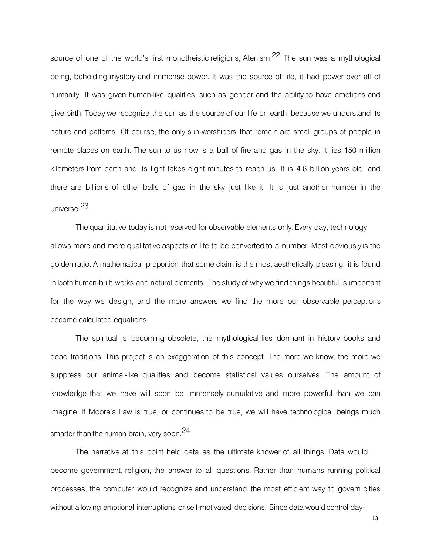source of one of the world's first monotheistic religions, Atenism.<sup>22</sup> The sun was a mythological being, beholding mystery and immense power. It was the source of life, it had power over all of humanity. It was given human-like qualities, such as gender and the ability to have emotions and give birth. Today we recognize the sun as the source of our life on earth, because we understand its nature and patterns. Of course, the only sun-worshipers that remain are small groups of people in remote places on earth. The sun to us now is a ball of fire and gas in the sky. It lies 150 million kilometers from earth and its light takes eight minutes to reach us. It is 4.6 billion years old, and there are billions of other balls of gas in the sky just like it. It is just another number in the universe. 23

The quantitative today is not reserved for observable elements only. Every day, technology allows more and more qualitative aspects of life to be converted to a number. Most obviously is the golden ratio. A mathematical proportion that some claim is the most aesthetically pleasing, it is found in both human-built works and natural elements. The study of why we find things beautiful is important for the way we design, and the more answers we find the more our observable perceptions become calculated equations.

The spiritual is becoming obsolete, the mythological lies dormant in history books and dead traditions. This project is an exaggeration of this concept. The more we know, the more we suppress our animal-like qualities and become statistical values ourselves. The amount of knowledge that we have will soon be immensely cumulative and more powerful than we can imagine. If Moore's Law is true, or continues to be true, we will have technological beings much smarter than the human brain, very soon.<sup>24</sup>

The narrative at this point held data as the ultimate knower of all things. Data would become government, religion, the answer to all questions. Rather than humans running political processes, the computer would recognize and understand the most efficient way to govern cities without allowing emotional interruptions or self-motivated decisions. Since data would control day-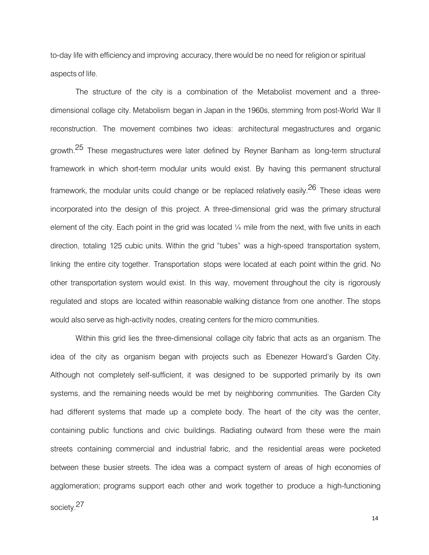to-day life with efficiency and improving accuracy, there would be no need for religion or spiritual aspects of life.

The structure of the city is a combination of the Metabolist movement and a threedimensional collage city. Metabolism began in Japan in the 1960s, stemming from post-World War II reconstruction. The movement combines two ideas: architectural megastructures and organic growth.<sup>25</sup> These megastructures were later defined by Reyner Banham as long-term structural framework in which short-term modular units would exist. By having this permanent structural framework, the modular units could change or be replaced relatively easily.<sup>26</sup> These ideas were incorporated into the design of this project. A three-dimensional grid was the primary structural element of the city. Each point in the grid was located  $\frac{1}{4}$  mile from the next, with five units in each direction, totaling 125 cubic units. Within the grid "tubes" was a high-speed transportation system, linking the entire city together. Transportation stops were located at each point within the grid. No other transportation system would exist. In this way, movement throughout the city is rigorously regulated and stops are located within reasonable walking distance from one another. The stops would also serve as high-activity nodes, creating centers for the micro communities.

Within this grid lies the three-dimensional collage city fabric that acts as an organism. The idea of the city as organism began with projects such as Ebenezer Howard's Garden City. Although not completely self-sufficient, it was designed to be supported primarily by its own systems, and the remaining needs would be met by neighboring communities. The Garden City had different systems that made up a complete body. The heart of the city was the center, containing public functions and civic buildings. Radiating outward from these were the main streets containing commercial and industrial fabric, and the residential areas were pocketed between these busier streets. The idea was a compact system of areas of high economies of agglomeration; programs support each other and work together to produce a high-functioning

society. 27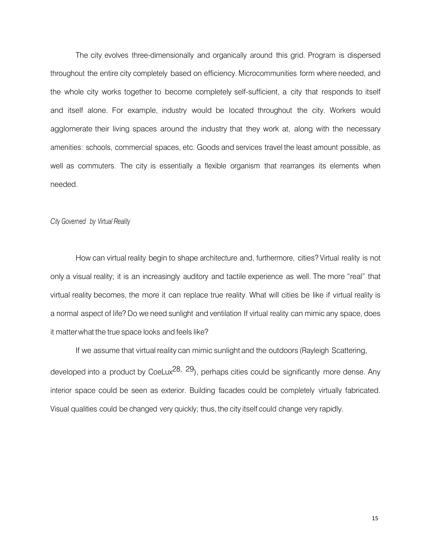The city evolves three-dimensionally and organically around this grid. Program is dispersed throughout the entire city completely based on efficiency. Microcommunities form where needed, and the whole city works together to become completely self-sufficient, a city that responds to itself and itself alone. For example, industry would be located throughout the city. Workers would agglomerate their living spaces around the industry that they work at, along with the necessary amenities: schools, commercial spaces, etc. Goods and services travel the least amount possible, as well as commuters. The city is essentially a flexible organism that rearranges its elements when needed.

#### *City Governed by Virtual Reality*

How can virtual reality begin to shape architecture and, furthermore, cities? Virtual reality is not only a visual reality; it is an increasingly auditory and tactile experience as well. The more "real" that virtual reality becomes, the more it can replace true reality. What will cities be like if virtual reality is a normal aspect of life? Do we need sunlight and ventilation If virtual reality can mimic any space, does it matterwhat the true space looks and feels like?

If we assume that virtual reality can mimic sunlight and the outdoors (Rayleigh Scattering, developed into a product by CoeLux<sup>28, 29</sup>), perhaps cities could be significantly more dense. Any interior space could be seen as exterior. Building facades could be completely virtually fabricated. Visual qualities could be changed very quickly; thus, the city itself could change very rapidly.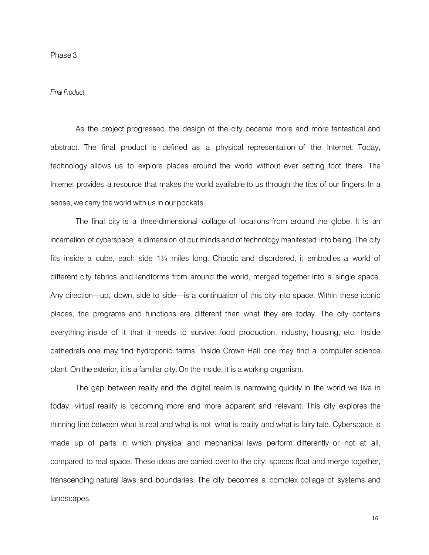#### *Final Product*

As the project progressed, the design of the city became more and more fantastical and abstract. The final product is defined as a physical representation of the Internet. Today, technology allows us to explore places around the world without ever setting foot there. The Internet provides a resource that makes the world available to us through the tips of our fingers. In a sense, we carry the world with us in our pockets.

The final city is a three-dimensional collage of locations from around the globe. It is an incarnation of cyberspace, a dimension of our minds and of technology manifested into being. The city fits inside a cube, each side 1¼ miles long. Chaotic and disordered, it embodies a world of different city fabrics and landforms from around the world, merged together into a single space. Any direction—up, down, side to side—is a continuation of this city into space. Within these iconic places, the programs and functions are different than what they are today. The city contains everything inside of it that it needs to survive: food production, industry, housing, etc. Inside cathedrals one may find hydroponic farms. Inside Crown Hall one may find a computer science plant. On the exterior, it is a familiar city.On the inside, it is a working organism.

The gap between reality and the digital realm is narrowing quickly in the world we live in today; virtual reality is becoming more and more apparent and relevant. This city explores the thinning line between what is real and what is not, what is reality and what is fairy tale. Cyberspace is made up of parts in which physical and mechanical laws perform differently or not at all, compared to real space. These ideas are carried over to the city: spaces float and merge together, transcending natural laws and boundaries. The city becomes a complex collage of systems and landscapes.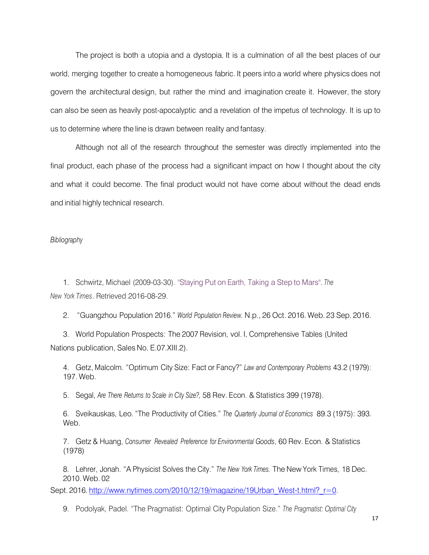The project is both a utopia and a dystopia. It is a culmination of all the best places of our world, merging together to create a homogeneous fabric. It peers into a world where physics does not govern the architectural design, but rather the mind and imagination create it. However, the story can also be seen as heavily post-apocalyptic and a revelation of the impetus of technology. It is up to us to determine where the line is drawn between reality and fantasy.

Although not all of the research throughout the semester was directly implemented into the final product, each phase of the process had a significant impact on how I thought about the city and what it could become. The final product would not have come about without the dead ends and initial highly technical research.

*Bibliography*

1. Schwirtz, Michael (2009-03-30). ["Staying](http://www.nytimes.com/2009/03/31/science/space/31mars.html) Put on Earth, Taking a Step to Mars". *The New York Times*. Retrieved 2016-08-29.

2. "Guangzhou Population 2016." *World Population Review.* N.p., 26 Oct. 2016. Web. 23 Sep. 2016.

3. World Population Prospects: The 2007 Revision, vol. I, Comprehensive Tables (United Nations publication, Sales No. E.07.XIII.2).

4. Getz, Malcolm. "Optimum City Size: Fact or Fancy?" *Law and Contemporary Problems* 43.2 (1979): 197. Web.

5. Segal, *Are There Returns to Scale in City Size?,* 58 Rev. Econ. & Statistics 399 (1978).

6. Sveikauskas, Leo. "The Productivity of Cities." *The Quarterly Journal of Economics* 89.3 (1975): 393. Web.

7. Getz & Huang, *Consumer Revealed Preference for Environmental Goods*, 60 Rev. Econ. & Statistics (1978)

8. Lehrer, Jonah. "A Physicist Solves the City." *The New York Times.* The New York Times, 18 Dec. 2010. Web. 02

Sept. 2016. [http://www.nytimes.com/2010/12/19/magazine/19Urban\\_West-t.html?\\_r=0.](http://www.nytimes.com/2010/12/19/magazine/19Urban_West-t.html?_r=0)

9. Podolyak, Padel. "The Pragmatist: Optimal City Population Size." *The Pragmatist: Optimal City*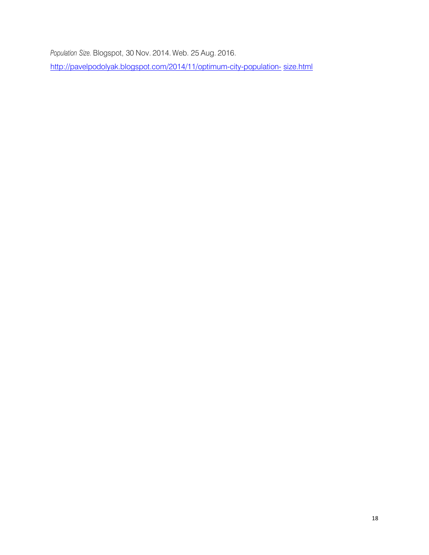*Population Size.* Blogspot, 30 Nov. 2014. Web. 25 Aug. 2016.

[http://pavelpodolyak.blogspot.com/2014/11/optimum-city-population-](http://pavelpodolyak.blogspot.com/2014/11/optimum-city-population-size.html) [size.html](http://pavelpodolyak.blogspot.com/2014/11/optimum-city-population-size.html)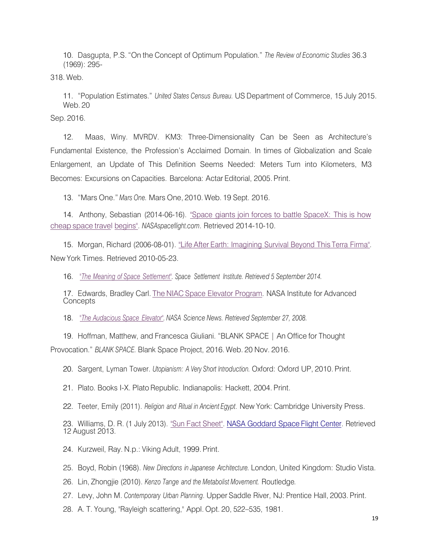10. Dasgupta, P.S."On the Concept of Optimum Population." *The Review of Economic Studies* 36.3 (1969): 295-

318. Web.

11. "Population Estimates." *United States Census Bureau.* US Department of Commerce, 15 July 2015. Web. 20

Sep. 2016.

12. Maas, Winy. MVRDV. KM3: Three-Dimensionality Can be Seen as Architecture's Fundamental Existence, the Profession's Acclaimed Domain. In times of Globalization and Scale Enlargement, an Update of This Definition Seems Needed: Meters Turn into Kilometers, M3 Becomes: Excursions on Capacities. Barcelona: Actar Editorial, 2005. Print.

13. "Mars One." *Mars One.* Mars One, 2010. Web. 19 Sept. 2016.

14. Anthony, Sebastian (2014-06-16). "Space giants join forces to battle [SpaceX:](http://www.extremetech.com/extreme/184434-space-giants-join-forces-to-battle-spacex-this-is-how-cheap-space-travel-begins) This is how cheap space [travel begins".](http://www.extremetech.com/extreme/184434-space-giants-join-forces-to-battle-spacex-this-is-how-cheap-space-travel-begins) *NASAspaceflight.com*. Retrieved 2014-10-10.

15. Morgan, Richard (2006-08-01). "Life After Earth: [Imagining](http://www.nytimes.com/2006/08/01/science/01arc.html) Survival Beyond This Terra Firma". New York Times. Retrieved 2010-05-23.

16. *"The Meaning of Space [Settlement".](http://www.space-settlement-institute.org/meaning.html) Space Settlement Institute. Retrieved 5 September 2014.*

17. Edwards, Bradley Carl. The [NIACSpace](http://www.niac.usra.edu/studies/521Edwards.html) Elevator Program. NASA Institute for Advanced **Concepts** 

18. *"The [Audacious Space](http://science.nasa.gov/headlines/y2000/ast07sep_1.htm) Elevator". NASA Science News. Retrieved September 27, 2008.*

19. Hoffman, Matthew, and Francesca Giuliani. "BLANK SPACE | An Office for Thought Provocation." *BLANK SPACE.* Blank Space Project, 2016. Web. 20 Nov. 2016.

20. Sargent, Lyman Tower. *Utopianism: A Very Short Introduction.* Oxford: Oxford UP, 2010. Print.

21. Plato. Books I-X. Plato Republic. Indianapolis: Hackett, 2004. Print.

22. Teeter, Emily (2011). *Religion and Ritual in Ancient Egypt*. New York: Cambridge University Press.

23. Williams, D. R. (1 July 2013). "Sun Fact [Sheet". N](http://nssdc.gsfc.nasa.gov/planetary/factsheet/sunfact.html)ASA [Goddard](http://nssdc.gsfc.nasa.gov/planetary/factsheet/sunfact.html) Space Flight Center. Retrieved 12 August 2013.

24. Kurzweil, Ray. N.p.: Viking Adult, 1999. Print.

25. Boyd, Robin (1968). *New Directions in Japanese Architecture.* London, United Kingdom: Studio Vista.

26. Lin, Zhongjie (2010). *Kenzo Tange and the Metabolist Movement.* Routledge*.*

27. Levy, John M. *Contemporary Urban Planning*. Upper Saddle River, NJ: Prentice Hall, 2003. Print.

28. A. T. Young, "Rayleigh scattering," Appl. Opt. 20, 522–535, 1981.